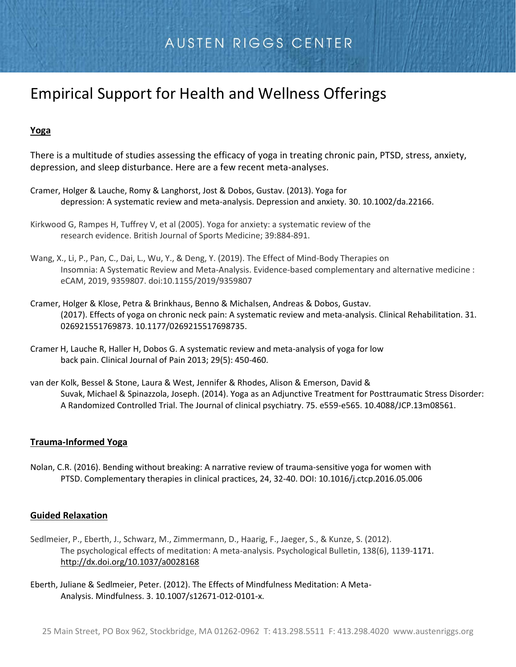# AUSTEN RIGGS CENTER

# Empirical Support for Health and Wellness Offerings

## **Yoga**

There is a multitude of studies assessing the efficacy of yoga in treating chronic pain, PTSD, stress, anxiety, depression, and sleep disturbance. Here are a few recent meta-analyses.

- Cramer, Holger & Lauche, Romy & Langhorst, Jost & Dobos, Gustav. (2013). Yoga for depression: A systematic review and meta-analysis. Depression and anxiety. 30. 10.1002/da.22166.
- Kirkwood G, Rampes H, Tuffrey V, et al (2005). Yoga for anxiety: a systematic review of the research evidence. British Journal of Sports Medicine; 39:884-891.
- Wang, X., Li, P., Pan, C., Dai, L., Wu, Y., & Deng, Y. (2019). The Effect of Mind-Body Therapies on Insomnia: A Systematic Review and Meta-Analysis. Evidence-based complementary and alternative medicine : eCAM, 2019, 9359807. doi:10.1155/2019/9359807
- Cramer, Holger & Klose, Petra & Brinkhaus, Benno & Michalsen, Andreas & Dobos, Gustav. (2017). Effects of yoga on chronic neck pain: A systematic review and meta-analysis. Clinical Rehabilitation. 31. 026921551769873. 10.1177/0269215517698735.
- Cramer H, Lauche R, Haller H, Dobos G. A systematic review and meta-analysis of yoga for low back pain. Clinical Journal of Pain 2013; 29(5): 450-460.
- van der Kolk, Bessel & Stone, Laura & West, Jennifer & Rhodes, Alison & Emerson, David & Suvak, Michael & Spinazzola, Joseph. (2014). Yoga as an Adjunctive Treatment for Posttraumatic Stress Disorder: A Randomized Controlled Trial. The Journal of clinical psychiatry. 75. e559-e565. 10.4088/JCP.13m08561.

### **Trauma-Informed Yoga**

Nolan, C.R. (2016). Bending without breaking: A narrative review of trauma-sensitive yoga for women with PTSD. Complementary therapies in clinical practices, 24, 32-40. DOI: [10.1016/j.ctcp.2016.05.006](https://doi.org/10.1016/j.ctcp.2016.05.006)

#### **Guided Relaxation**

- Sedlmeier, P., Eberth, J., Schwarz, M., Zimmermann, D., Haarig, F., Jaeger, S., & Kunze, S. (2012). The psychological effects of meditation: A meta-analysis. Psychological Bulletin, 138(6), 1139-1171. [http://dx.doi.org/10.1037/a0028168](https://psycnet.apa.org/doi/10.1037/a0028168)
- Eberth, Juliane & Sedlmeier, Peter. (2012). The Effects of Mindfulness Meditation: A Meta-Analysis. Mindfulness. 3. 10.1007/s12671-012-0101-x.